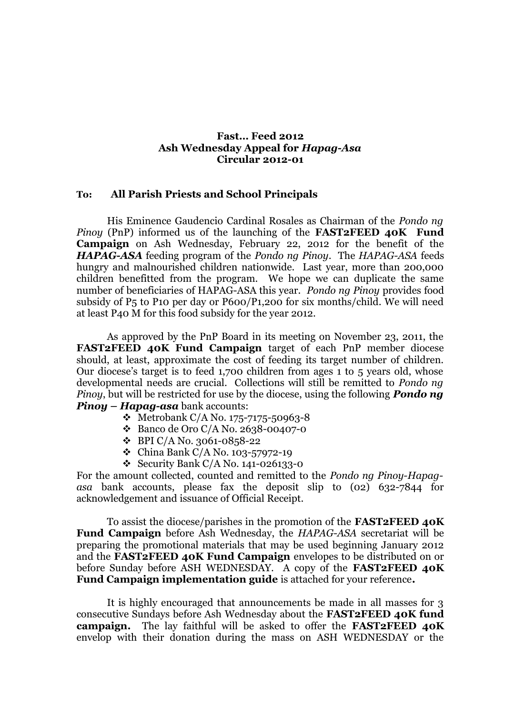## **Fast… Feed 2012 Ash Wednesday Appeal for** *Hapag-Asa* **Circular 2012-01**

## **To: All Parish Priests and School Principals**

His Eminence Gaudencio Cardinal Rosales as Chairman of the *Pondo ng Pinoy* (PnP) informed us of the launching of the **FAST2FEED 40K Fund Campaign** on Ash Wednesday, February 22, 2012 for the benefit of the *HAPAG-ASA* feeding program of the *Pondo ng Pinoy*. The *HAPAG-ASA* feeds hungry and malnourished children nationwide. Last year, more than 200,000 children benefitted from the program. We hope we can duplicate the same number of beneficiaries of HAPAG-ASA this year. *Pondo ng Pinoy* provides food subsidy of P5 to P10 per day or P600/P1,200 for six months/child. We will need at least P40 M for this food subsidy for the year 2012.

As approved by the PnP Board in its meeting on November 23, 2011, the **FAST2FEED 40K Fund Campaign** target of each PnP member diocese should, at least, approximate the cost of feeding its target number of children. Our diocese's target is to feed 1,700 children from ages 1 to 5 years old, whose developmental needs are crucial. Collections will still be remitted to *Pondo ng Pinoy*, but will be restricted for use by the diocese, using the following *Pondo ng Pinoy – Hapag-asa* bank accounts:

- $\div$  Metrobank C/A No. 175-7175-50963-8
- Banco de Oro C/A No. 2638-00407-0
- $\div$  BPI C/A No. 3061-0858-22
- $\bullet$  China Bank C/A No. 103-57972-19
- Security Bank C/A No. 141-026133-0

For the amount collected, counted and remitted to the *Pondo ng Pinoy-Hapagasa* bank accounts, please fax the deposit slip to (02) 632-7844 for acknowledgement and issuance of Official Receipt.

To assist the diocese/parishes in the promotion of the **FAST2FEED 40K Fund Campaign** before Ash Wednesday, the *HAPAG-ASA* secretariat will be preparing the promotional materials that may be used beginning January 2012 and the **FAST2FEED 40K Fund Campaign** envelopes to be distributed on or before Sunday before ASH WEDNESDAY. A copy of the **FAST2FEED 40K Fund Campaign implementation guide** is attached for your reference**.**

It is highly encouraged that announcements be made in all masses for 3 consecutive Sundays before Ash Wednesday about the **FAST2FEED 40K fund campaign.** The lay faithful will be asked to offer the **FAST2FEED 40K** envelop with their donation during the mass on ASH WEDNESDAY or the